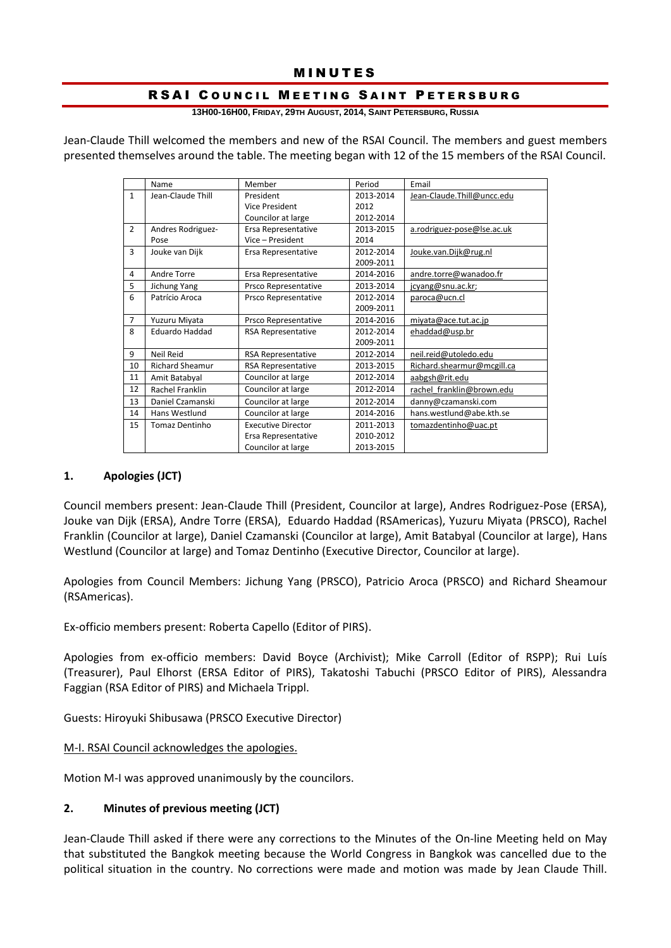# **MINUTES**

### RSAI COUNCIL MEETING SAINT PETERSBURG

**13H00-16H00, FRIDAY, 29TH AUGUST, 2014, SAINT PETERSBURG, RUSSIA**

Jean-Claude Thill welcomed the members and new of the RSAI Council. The members and guest members presented themselves around the table. The meeting began with 12 of the 15 members of the RSAI Council.

|                | Name                   | Member                    | Period    | Email                      |
|----------------|------------------------|---------------------------|-----------|----------------------------|
| $\mathbf{1}$   | Jean-Claude Thill      | President                 | 2013-2014 | Jean-Claude.Thill@uncc.edu |
|                |                        | Vice President            | 2012      |                            |
|                |                        | Councilor at large        | 2012-2014 |                            |
| $\overline{2}$ | Andres Rodriguez-      | Ersa Representative       | 2013-2015 | a.rodriguez-pose@lse.ac.uk |
|                | Pose                   | Vice - President          | 2014      |                            |
| 3              | Jouke van Dijk         | Ersa Representative       | 2012-2014 | Jouke.van.Dijk@rug.nl      |
|                |                        |                           | 2009-2011 |                            |
| 4              | Andre Torre            | Ersa Representative       | 2014-2016 | andre.torre@wanadoo.fr     |
| 5              | Jichung Yang           | Prsco Representative      | 2013-2014 | jcyang@snu.ac.kr;          |
| 6              | Patrício Aroca         | Prsco Representative      | 2012-2014 | paroca@ucn.cl              |
|                |                        |                           | 2009-2011 |                            |
| $\overline{7}$ | Yuzuru Miyata          | Prsco Representative      | 2014-2016 | miyata@ace.tut.ac.jp       |
| 8              | <b>Eduardo Haddad</b>  | <b>RSA Representative</b> | 2012-2014 | ehaddad@usp.br             |
|                |                        |                           | 2009-2011 |                            |
| 9              | <b>Neil Reid</b>       | RSA Representative        | 2012-2014 | neil.reid@utoledo.edu      |
| 10             | <b>Richard Sheamur</b> | <b>RSA Representative</b> | 2013-2015 | Richard.shearmur@mcgill.ca |
| 11             | Amit Batabyal          | Councilor at large        | 2012-2014 | aabgsh@rit.edu             |
| 12             | Rachel Franklin        | Councilor at large        | 2012-2014 | rachel franklin@brown.edu  |
| 13             | Daniel Czamanski       | Councilor at large        | 2012-2014 | danny@czamanski.com        |
| 14             | Hans Westlund          | Councilor at large        | 2014-2016 | hans.westlund@abe.kth.se   |
| 15             | <b>Tomaz Dentinho</b>  | <b>Executive Director</b> | 2011-2013 | tomazdentinho@uac.pt       |
|                |                        | Ersa Representative       | 2010-2012 |                            |
|                |                        | Councilor at large        | 2013-2015 |                            |

#### **1. Apologies (JCT)**

Council members present: Jean-Claude Thill (President, Councilor at large), Andres Rodriguez-Pose (ERSA), Jouke van Dijk (ERSA), Andre Torre (ERSA), Eduardo Haddad (RSAmericas), Yuzuru Miyata (PRSCO), Rachel Franklin (Councilor at large), Daniel Czamanski (Councilor at large), Amit Batabyal (Councilor at large), Hans Westlund (Councilor at large) and Tomaz Dentinho (Executive Director, Councilor at large).

Apologies from Council Members: Jichung Yang (PRSCO), Patricio Aroca (PRSCO) and Richard Sheamour (RSAmericas).

Ex-officio members present: Roberta Capello (Editor of PIRS).

Apologies from ex-officio members: David Boyce (Archivist); Mike Carroll (Editor of RSPP); Rui Luís (Treasurer), Paul Elhorst (ERSA Editor of PIRS), Takatoshi Tabuchi (PRSCO Editor of PIRS), Alessandra Faggian (RSA Editor of PIRS) and Michaela Trippl.

Guests: Hiroyuki Shibusawa (PRSCO Executive Director)

M-I. RSAI Council acknowledges the apologies.

Motion M-I was approved unanimously by the councilors.

#### **2. Minutes of previous meeting (JCT)**

Jean-Claude Thill asked if there were any corrections to the Minutes of the On-line Meeting held on May that substituted the Bangkok meeting because the World Congress in Bangkok was cancelled due to the political situation in the country. No corrections were made and motion was made by Jean Claude Thill.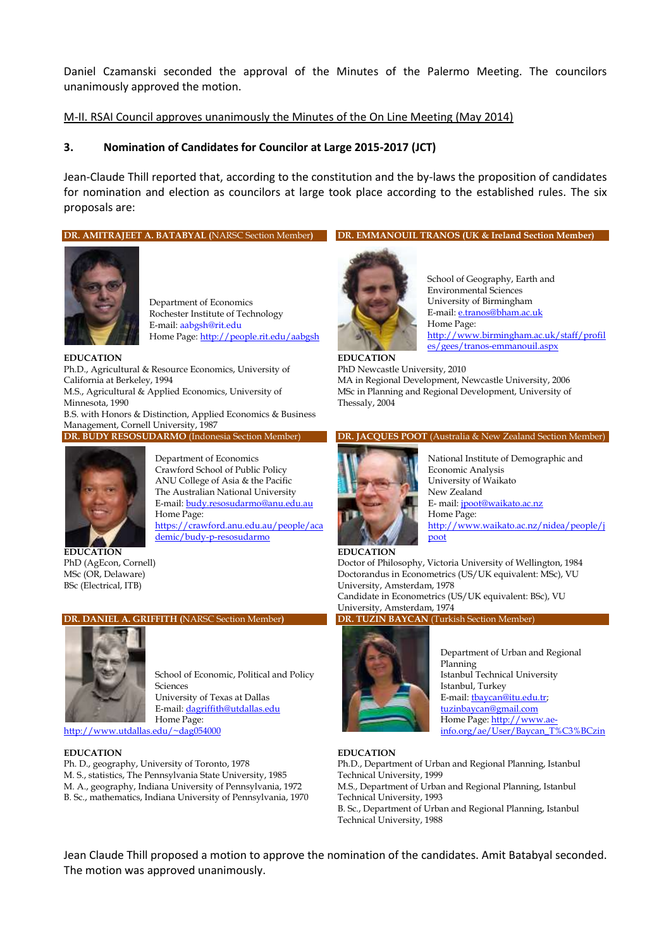Daniel Czamanski seconded the approval of the Minutes of the Palermo Meeting. The councilors unanimously approved the motion.

#### M-II. RSAI Council approves unanimously the Minutes of the On Line Meeting (May 2014)

#### **3. Nomination of Candidates for Councilor at Large 2015-2017 (JCT)**

Jean-Claude Thill reported that, according to the constitution and the by-laws the proposition of candidates for nomination and election as councilors at large took place according to the established rules. The six proposals are:

**DR. AMITRAJEET A. BATABYAL (**NARSC Section Member**)**



Department of Economics Rochester Institute of Technology E-mail: aabgsh@rit.edu Home Page[: http://people.rit.edu/aabgsh](http://people.rit.edu/aabgsh)

#### **EDUCATION**

Ph.D., Agricultural & Resource Economics, University of California at Berkeley, 1994

M.S., Agricultural & Applied Economics, University of Minnesota, 1990

B.S. with Honors & Distinction, Applied Economics & Business Management, Cornell University, 1987

**DR. BUDY RESOSUDARMO** (Indonesia Section Member)



Department of Economics Crawford School of Public Policy ANU College of Asia & the Pacific The Australian National University E-mail[: budy.resosudarmo@anu.edu.au](mailto:budy.resosudarmo@anu.edu.au) Home Page: [https://crawford.anu.edu.au/people/aca](https://crawford.anu.edu.au/people/academic/budy-p-resosudarmo) [demic/budy-p-resosudarmo](https://crawford.anu.edu.au/people/academic/budy-p-resosudarmo)

**EDUCATION** PhD (AgEcon, Cornell) MSc (OR, Delaware) BSc (Electrical, ITB)

#### **DR. DANIEL A. GRIFFITH (**NARSC Section Member**)**



School of Economic, Political and Policy Sciences

University of Texas at Dallas E-mail[: dagriffith@utdallas.edu](mailto:dagriffith@utdallas.edu) Home Page: <http://www.utdallas.edu/~dag054000>

#### **EDUCATION**

Ph. D., geography, University of Toronto, 1978 M. S., statistics, The Pennsylvania State University, 1985 M. A., geography, Indiana University of Pennsylvania, 1972 B. Sc., mathematics, Indiana University of Pennsylvania, 1970





School of Geography, Earth and Environmental Sciences University of Birmingham E-mail[: e.tranos@bham.ac.uk](mailto:e.tranos@bham.ac.uk) Home Page: [http://www.birmingham.ac.uk/staff/profil](http://www.birmingham.ac.uk/staff/profiles/gees/tranos-emmanouil.aspx) [es/gees/tranos-emmanouil.aspx](http://www.birmingham.ac.uk/staff/profiles/gees/tranos-emmanouil.aspx)

**EDUCATION** PhD Newcastle University, 2010 MA in Regional Development, Newcastle University, 2006 MSc in Planning and Regional Development, University of Thessaly, 2004

#### **DR. JACQUES POOT** (Australia & New Zealand Section Member)



National Institute of Demographic and Economic Analysis University of Waikato New Zealand E- mail[: jpoot@waikato.ac.nz](mailto:jpoot@waikato.ac.nz) Home Page: [http://www.waikato.ac.nz/nidea/people/j](http://www.waikato.ac.nz/nidea/people/jpoot) [poot](http://www.waikato.ac.nz/nidea/people/jpoot)

#### **EDUCATION** Doctor of Philosophy, Victoria University of Wellington, 1984 Doctorandus in Econometrics (US/UK equivalent: MSc), VU University, Amsterdam, 1978 Candidate in Econometrics (US/UK equivalent: BSc), VU University, Amsterdam, 1974

#### **DR. TUZIN BAYCAN** (Turkish Section Member)



Department of Urban and Regional Planning Istanbul Technical University Istanbul, Turkey E-mail[: tbaycan@itu.edu.tr;](mailto:tbaycan@itu.edu.tr) [tuzinbaycan@gmail.com](mailto:tuzinbaycan@gmail.com) Home Page[: http://www.ae](http://www.ae-info.org/ae/User/Baycan_T%C3%BCzin)[info.org/ae/User/Baycan\\_T%C3%BCzin](http://www.ae-info.org/ae/User/Baycan_T%C3%BCzin)

#### **EDUCATION**

Ph.D., Department of Urban and Regional Planning, Istanbul Technical University, 1999 M.S., Department of Urban and Regional Planning, Istanbul Technical University, 1993 B. Sc., Department of Urban and Regional Planning, Istanbul Technical University, 1988

Jean Claude Thill proposed a motion to approve the nomination of the candidates. Amit Batabyal seconded. The motion was approved unanimously.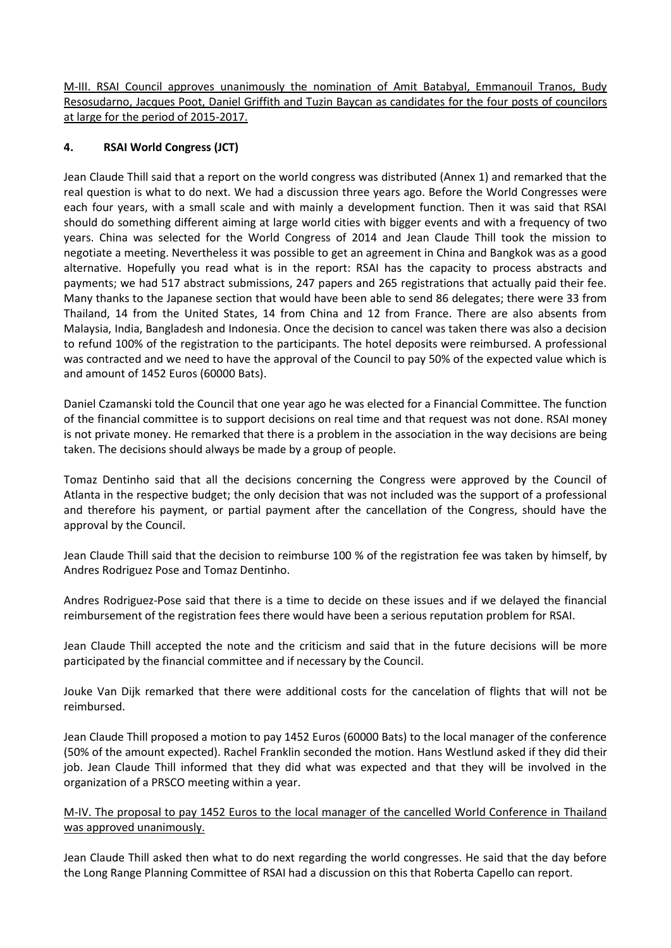M-III. RSAI Council approves unanimously the nomination of Amit Batabyal, Emmanouil Tranos, Budy Resosudarno, Jacques Poot, Daniel Griffith and Tuzin Baycan as candidates for the four posts of councilors at large for the period of 2015-2017.

### **4. RSAI World Congress (JCT)**

Jean Claude Thill said that a report on the world congress was distributed (Annex 1) and remarked that the real question is what to do next. We had a discussion three years ago. Before the World Congresses were each four years, with a small scale and with mainly a development function. Then it was said that RSAI should do something different aiming at large world cities with bigger events and with a frequency of two years. China was selected for the World Congress of 2014 and Jean Claude Thill took the mission to negotiate a meeting. Nevertheless it was possible to get an agreement in China and Bangkok was as a good alternative. Hopefully you read what is in the report: RSAI has the capacity to process abstracts and payments; we had 517 abstract submissions, 247 papers and 265 registrations that actually paid their fee. Many thanks to the Japanese section that would have been able to send 86 delegates; there were 33 from Thailand, 14 from the United States, 14 from China and 12 from France. There are also absents from Malaysia, India, Bangladesh and Indonesia. Once the decision to cancel was taken there was also a decision to refund 100% of the registration to the participants. The hotel deposits were reimbursed. A professional was contracted and we need to have the approval of the Council to pay 50% of the expected value which is and amount of 1452 Euros (60000 Bats).

Daniel Czamanski told the Council that one year ago he was elected for a Financial Committee. The function of the financial committee is to support decisions on real time and that request was not done. RSAI money is not private money. He remarked that there is a problem in the association in the way decisions are being taken. The decisions should always be made by a group of people.

Tomaz Dentinho said that all the decisions concerning the Congress were approved by the Council of Atlanta in the respective budget; the only decision that was not included was the support of a professional and therefore his payment, or partial payment after the cancellation of the Congress, should have the approval by the Council.

Jean Claude Thill said that the decision to reimburse 100 % of the registration fee was taken by himself, by Andres Rodriguez Pose and Tomaz Dentinho.

Andres Rodriguez-Pose said that there is a time to decide on these issues and if we delayed the financial reimbursement of the registration fees there would have been a serious reputation problem for RSAI.

Jean Claude Thill accepted the note and the criticism and said that in the future decisions will be more participated by the financial committee and if necessary by the Council.

Jouke Van Dijk remarked that there were additional costs for the cancelation of flights that will not be reimbursed.

Jean Claude Thill proposed a motion to pay 1452 Euros (60000 Bats) to the local manager of the conference (50% of the amount expected). Rachel Franklin seconded the motion. Hans Westlund asked if they did their job. Jean Claude Thill informed that they did what was expected and that they will be involved in the organization of a PRSCO meeting within a year.

#### M-IV. The proposal to pay 1452 Euros to the local manager of the cancelled World Conference in Thailand was approved unanimously.

Jean Claude Thill asked then what to do next regarding the world congresses. He said that the day before the Long Range Planning Committee of RSAI had a discussion on this that Roberta Capello can report.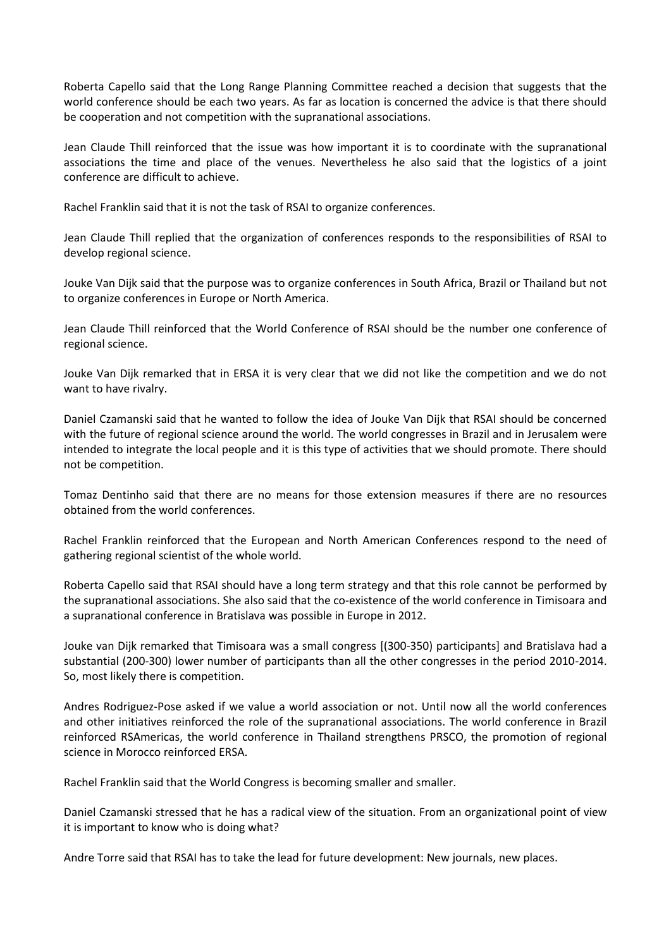Roberta Capello said that the Long Range Planning Committee reached a decision that suggests that the world conference should be each two years. As far as location is concerned the advice is that there should be cooperation and not competition with the supranational associations.

Jean Claude Thill reinforced that the issue was how important it is to coordinate with the supranational associations the time and place of the venues. Nevertheless he also said that the logistics of a joint conference are difficult to achieve.

Rachel Franklin said that it is not the task of RSAI to organize conferences.

Jean Claude Thill replied that the organization of conferences responds to the responsibilities of RSAI to develop regional science.

Jouke Van Dijk said that the purpose was to organize conferences in South Africa, Brazil or Thailand but not to organize conferences in Europe or North America.

Jean Claude Thill reinforced that the World Conference of RSAI should be the number one conference of regional science.

Jouke Van Dijk remarked that in ERSA it is very clear that we did not like the competition and we do not want to have rivalry.

Daniel Czamanski said that he wanted to follow the idea of Jouke Van Dijk that RSAI should be concerned with the future of regional science around the world. The world congresses in Brazil and in Jerusalem were intended to integrate the local people and it is this type of activities that we should promote. There should not be competition.

Tomaz Dentinho said that there are no means for those extension measures if there are no resources obtained from the world conferences.

Rachel Franklin reinforced that the European and North American Conferences respond to the need of gathering regional scientist of the whole world.

Roberta Capello said that RSAI should have a long term strategy and that this role cannot be performed by the supranational associations. She also said that the co-existence of the world conference in Timisoara and a supranational conference in Bratislava was possible in Europe in 2012.

Jouke van Dijk remarked that Timisoara was a small congress [(300-350) participants] and Bratislava had a substantial (200-300) lower number of participants than all the other congresses in the period 2010-2014. So, most likely there is competition.

Andres Rodriguez-Pose asked if we value a world association or not. Until now all the world conferences and other initiatives reinforced the role of the supranational associations. The world conference in Brazil reinforced RSAmericas, the world conference in Thailand strengthens PRSCO, the promotion of regional science in Morocco reinforced ERSA.

Rachel Franklin said that the World Congress is becoming smaller and smaller.

Daniel Czamanski stressed that he has a radical view of the situation. From an organizational point of view it is important to know who is doing what?

Andre Torre said that RSAI has to take the lead for future development: New journals, new places.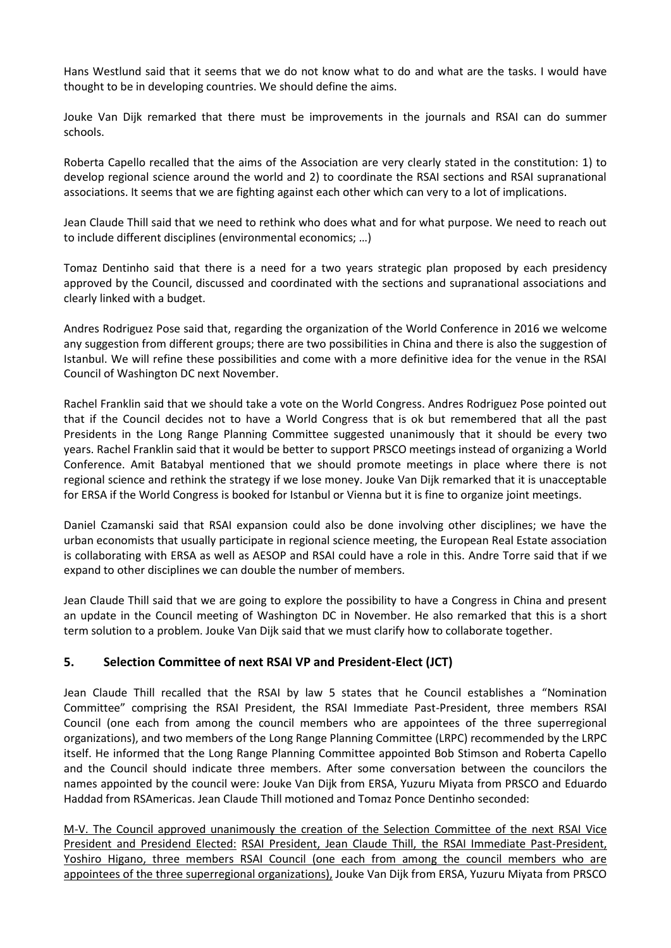Hans Westlund said that it seems that we do not know what to do and what are the tasks. I would have thought to be in developing countries. We should define the aims.

Jouke Van Dijk remarked that there must be improvements in the journals and RSAI can do summer schools.

Roberta Capello recalled that the aims of the Association are very clearly stated in the constitution: 1) to develop regional science around the world and 2) to coordinate the RSAI sections and RSAI supranational associations. It seems that we are fighting against each other which can very to a lot of implications.

Jean Claude Thill said that we need to rethink who does what and for what purpose. We need to reach out to include different disciplines (environmental economics; …)

Tomaz Dentinho said that there is a need for a two years strategic plan proposed by each presidency approved by the Council, discussed and coordinated with the sections and supranational associations and clearly linked with a budget.

Andres Rodriguez Pose said that, regarding the organization of the World Conference in 2016 we welcome any suggestion from different groups; there are two possibilities in China and there is also the suggestion of Istanbul. We will refine these possibilities and come with a more definitive idea for the venue in the RSAI Council of Washington DC next November.

Rachel Franklin said that we should take a vote on the World Congress. Andres Rodriguez Pose pointed out that if the Council decides not to have a World Congress that is ok but remembered that all the past Presidents in the Long Range Planning Committee suggested unanimously that it should be every two years. Rachel Franklin said that it would be better to support PRSCO meetings instead of organizing a World Conference. Amit Batabyal mentioned that we should promote meetings in place where there is not regional science and rethink the strategy if we lose money. Jouke Van Dijk remarked that it is unacceptable for ERSA if the World Congress is booked for Istanbul or Vienna but it is fine to organize joint meetings.

Daniel Czamanski said that RSAI expansion could also be done involving other disciplines; we have the urban economists that usually participate in regional science meeting, the European Real Estate association is collaborating with ERSA as well as AESOP and RSAI could have a role in this. Andre Torre said that if we expand to other disciplines we can double the number of members.

Jean Claude Thill said that we are going to explore the possibility to have a Congress in China and present an update in the Council meeting of Washington DC in November. He also remarked that this is a short term solution to a problem. Jouke Van Dijk said that we must clarify how to collaborate together.

#### **5. Selection Committee of next RSAI VP and President-Elect (JCT)**

Jean Claude Thill recalled that the RSAI by law 5 states that he Council establishes a "Nomination Committee" comprising the RSAI President, the RSAI Immediate Past-President, three members RSAI Council (one each from among the council members who are appointees of the three superregional organizations), and two members of the Long Range Planning Committee (LRPC) recommended by the LRPC itself. He informed that the Long Range Planning Committee appointed Bob Stimson and Roberta Capello and the Council should indicate three members. After some conversation between the councilors the names appointed by the council were: Jouke Van Dijk from ERSA, Yuzuru Miyata from PRSCO and Eduardo Haddad from RSAmericas. Jean Claude Thill motioned and Tomaz Ponce Dentinho seconded:

M-V. The Council approved unanimously the creation of the Selection Committee of the next RSAI Vice President and Presidend Elected: RSAI President, Jean Claude Thill, the RSAI Immediate Past-President, Yoshiro Higano, three members RSAI Council (one each from among the council members who are appointees of the three superregional organizations), Jouke Van Dijk from ERSA, Yuzuru Miyata from PRSCO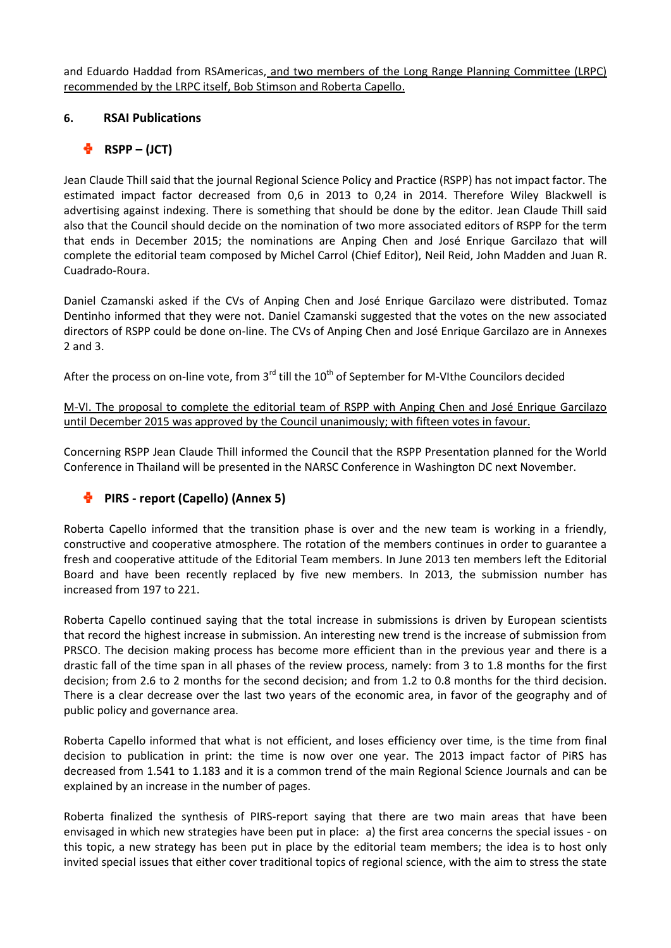and Eduardo Haddad from RSAmericas, and two members of the Long Range Planning Committee (LRPC) recommended by the LRPC itself, Bob Stimson and Roberta Capello.

### **6. RSAI Publications**

# $\frac{1}{2}$  RSPP – (JCT)

Jean Claude Thill said that the journal Regional Science Policy and Practice (RSPP) has not impact factor. The estimated impact factor decreased from 0,6 in 2013 to 0,24 in 2014. Therefore Wiley Blackwell is advertising against indexing. There is something that should be done by the editor. Jean Claude Thill said also that the Council should decide on the nomination of two more associated editors of RSPP for the term that ends in December 2015; the nominations are Anping Chen and José Enrique Garcilazo that will complete the editorial team composed by Michel Carrol (Chief Editor), Neil Reid, John Madden and Juan R. Cuadrado-Roura.

Daniel Czamanski asked if the CVs of Anping Chen and José Enrique Garcilazo were distributed. Tomaz Dentinho informed that they were not. Daniel Czamanski suggested that the votes on the new associated directors of RSPP could be done on-line. The CVs of Anping Chen and José Enrique Garcilazo are in Annexes 2 and 3.

After the process on on-line vote, from 3<sup>rd</sup> till the 10<sup>th</sup> of September for M-VIthe Councilors decided

M-VI. The proposal to complete the editorial team of RSPP with Anping Chen and José Enrique Garcilazo until December 2015 was approved by the Council unanimously; with fifteen votes in favour.

Concerning RSPP Jean Claude Thill informed the Council that the RSPP Presentation planned for the World Conference in Thailand will be presented in the NARSC Conference in Washington DC next November.

# **PIRS - report (Capello) (Annex 5)**

Roberta Capello informed that the transition phase is over and the new team is working in a friendly, constructive and cooperative atmosphere. The rotation of the members continues in order to guarantee a fresh and cooperative attitude of the Editorial Team members. In June 2013 ten members left the Editorial Board and have been recently replaced by five new members. In 2013, the submission number has increased from 197 to 221.

Roberta Capello continued saying that the total increase in submissions is driven by European scientists that record the highest increase in submission. An interesting new trend is the increase of submission from PRSCO. The decision making process has become more efficient than in the previous year and there is a drastic fall of the time span in all phases of the review process, namely: from 3 to 1.8 months for the first decision; from 2.6 to 2 months for the second decision; and from 1.2 to 0.8 months for the third decision. There is a clear decrease over the last two years of the economic area, in favor of the geography and of public policy and governance area.

Roberta Capello informed that what is not efficient, and loses efficiency over time, is the time from final decision to publication in print: the time is now over one year. The 2013 impact factor of PiRS has decreased from 1.541 to 1.183 and it is a common trend of the main Regional Science Journals and can be explained by an increase in the number of pages.

Roberta finalized the synthesis of PIRS-report saying that there are two main areas that have been envisaged in which new strategies have been put in place: a) the first area concerns the special issues - on this topic, a new strategy has been put in place by the editorial team members; the idea is to host only invited special issues that either cover traditional topics of regional science, with the aim to stress the state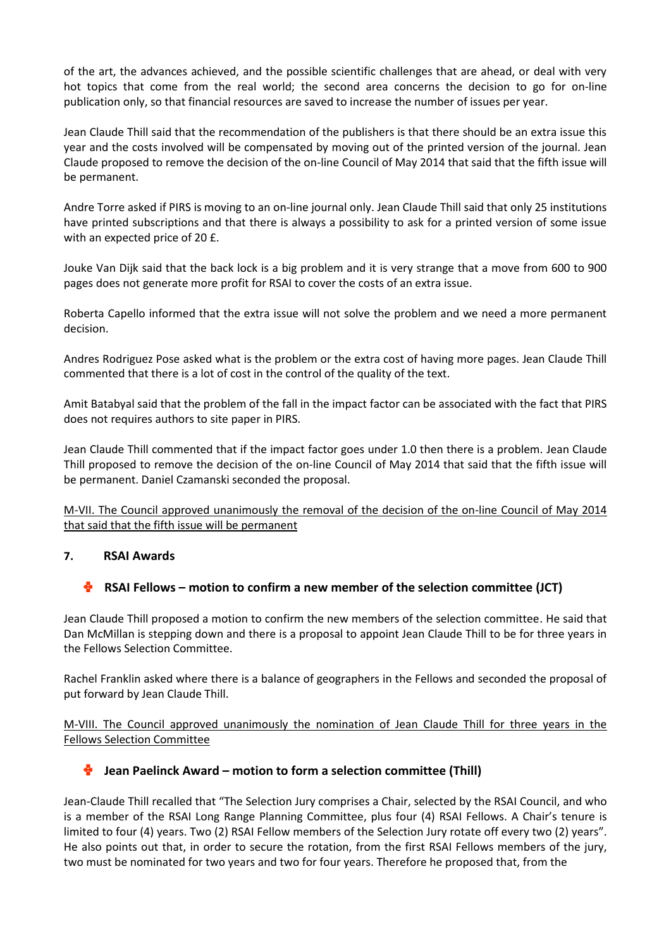of the art, the advances achieved, and the possible scientific challenges that are ahead, or deal with very hot topics that come from the real world; the second area concerns the decision to go for on-line publication only, so that financial resources are saved to increase the number of issues per year.

Jean Claude Thill said that the recommendation of the publishers is that there should be an extra issue this year and the costs involved will be compensated by moving out of the printed version of the journal. Jean Claude proposed to remove the decision of the on-line Council of May 2014 that said that the fifth issue will be permanent.

Andre Torre asked if PIRS is moving to an on-line journal only. Jean Claude Thill said that only 25 institutions have printed subscriptions and that there is always a possibility to ask for a printed version of some issue with an expected price of 20 £.

Jouke Van Dijk said that the back lock is a big problem and it is very strange that a move from 600 to 900 pages does not generate more profit for RSAI to cover the costs of an extra issue.

Roberta Capello informed that the extra issue will not solve the problem and we need a more permanent decision.

Andres Rodriguez Pose asked what is the problem or the extra cost of having more pages. Jean Claude Thill commented that there is a lot of cost in the control of the quality of the text.

Amit Batabyal said that the problem of the fall in the impact factor can be associated with the fact that PIRS does not requires authors to site paper in PIRS.

Jean Claude Thill commented that if the impact factor goes under 1.0 then there is a problem. Jean Claude Thill proposed to remove the decision of the on-line Council of May 2014 that said that the fifth issue will be permanent. Daniel Czamanski seconded the proposal.

M-VII. The Council approved unanimously the removal of the decision of the on-line Council of May 2014 that said that the fifth issue will be permanent

#### **7. RSAI Awards**

# **RSAI Fellows – motion to confirm a new member of the selection committee (JCT)**

Jean Claude Thill proposed a motion to confirm the new members of the selection committee. He said that Dan McMillan is stepping down and there is a proposal to appoint Jean Claude Thill to be for three years in the Fellows Selection Committee.

Rachel Franklin asked where there is a balance of geographers in the Fellows and seconded the proposal of put forward by Jean Claude Thill.

M-VIII. The Council approved unanimously the nomination of Jean Claude Thill for three years in the Fellows Selection Committee

# **Jean Paelinck Award – motion to form a selection committee (Thill)**

Jean-Claude Thill recalled that "The Selection Jury comprises a Chair, selected by the RSAI Council, and who is a member of the RSAI Long Range Planning Committee, plus four (4) RSAI Fellows. A Chair's tenure is limited to four (4) years. Two (2) RSAI Fellow members of the Selection Jury rotate off every two (2) years". He also points out that, in order to secure the rotation, from the first RSAI Fellows members of the jury, two must be nominated for two years and two for four years. Therefore he proposed that, from the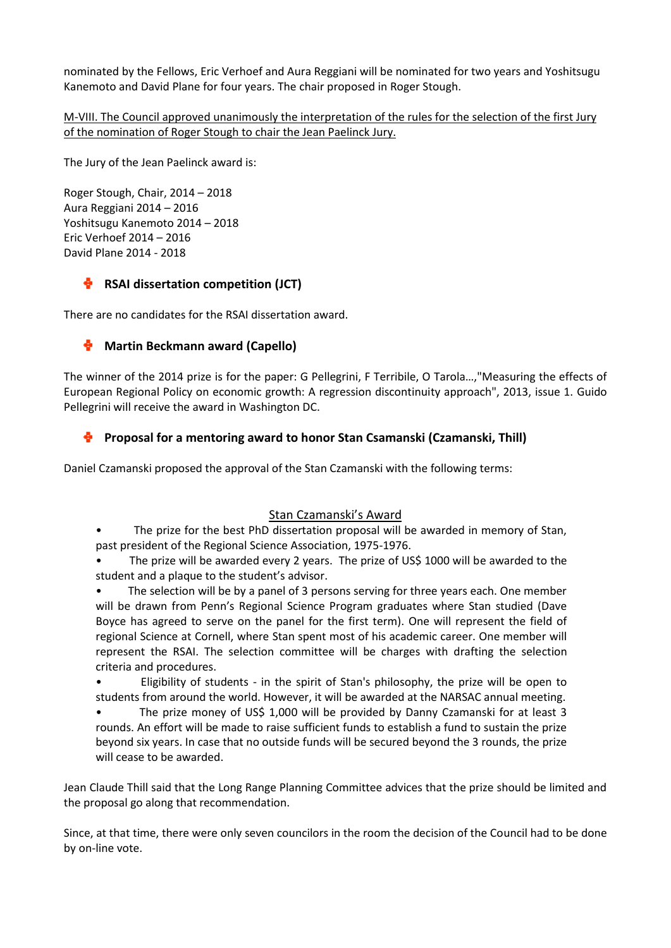nominated by the Fellows, Eric Verhoef and Aura Reggiani will be nominated for two years and Yoshitsugu Kanemoto and David Plane for four years. The chair proposed in Roger Stough.

M-VIII. The Council approved unanimously the interpretation of the rules for the selection of the first Jury of the nomination of Roger Stough to chair the Jean Paelinck Jury.

The Jury of the Jean Paelinck award is:

Roger Stough, Chair, 2014 – 2018 Aura Reggiani 2014 – 2016 Yoshitsugu Kanemoto 2014 – 2018 Eric Verhoef 2014 – 2016 David Plane 2014 - 2018

# **RSAI dissertation competition (JCT)**

There are no candidates for the RSAI dissertation award.

# **Martin Beckmann award (Capello)**

The winner of the 2014 prize is for the paper: G Pellegrini, F Terribile, O Tarola…,"Measuring the effects of European Regional Policy on economic growth: A regression discontinuity approach", 2013, issue 1. Guido Pellegrini will receive the award in Washington DC.

# **Proposal for a mentoring award to honor Stan Csamanski (Czamanski, Thill)**

Daniel Czamanski proposed the approval of the Stan Czamanski with the following terms:

# Stan Czamanski's Award

• The prize for the best PhD dissertation proposal will be awarded in memory of Stan, past president of the Regional Science Association, 1975-1976.

The prize will be awarded every 2 years. The prize of US\$ 1000 will be awarded to the student and a plaque to the student's advisor.

The selection will be by a panel of 3 persons serving for three years each. One member will be drawn from Penn's Regional Science Program graduates where Stan studied (Dave Boyce has agreed to serve on the panel for the first term). One will represent the field of regional Science at Cornell, where Stan spent most of his academic career. One member will represent the RSAI. The selection committee will be charges with drafting the selection criteria and procedures.

• Eligibility of students - in the spirit of Stan's philosophy, the prize will be open to students from around the world. However, it will be awarded at the NARSAC annual meeting.

• The prize money of US\$ 1,000 will be provided by Danny Czamanski for at least 3 rounds. An effort will be made to raise sufficient funds to establish a fund to sustain the prize beyond six years. In case that no outside funds will be secured beyond the 3 rounds, the prize will cease to be awarded.

Jean Claude Thill said that the Long Range Planning Committee advices that the prize should be limited and the proposal go along that recommendation.

Since, at that time, there were only seven councilors in the room the decision of the Council had to be done by on-line vote.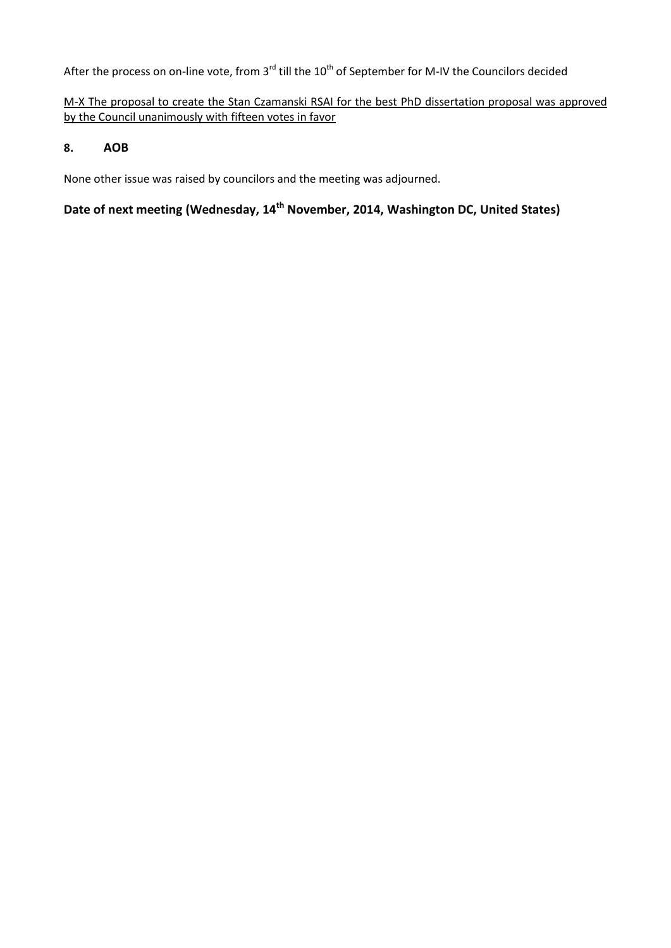# After the process on on-line vote, from 3<sup>rd</sup> till the 10<sup>th</sup> of September for M-IV the Councilors decided

# M-X The proposal to create the Stan Czamanski RSAI for the best PhD dissertation proposal was approved by the Council unanimously with fifteen votes in favor

### **8. AOB**

None other issue was raised by councilors and the meeting was adjourned.

# **Date of next meeting (Wednesday, 14th November, 2014, Washington DC, United States)**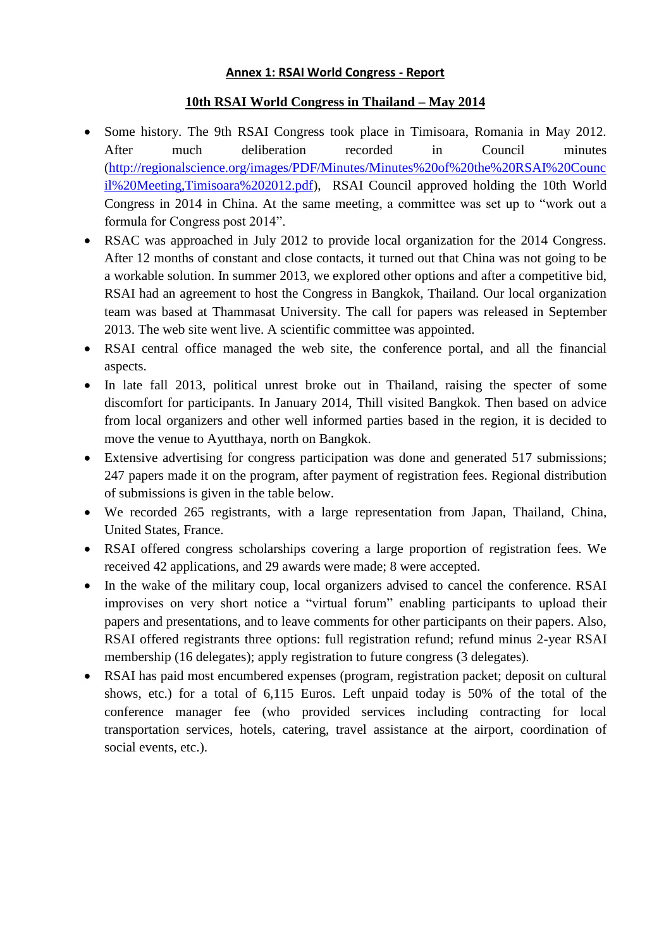# **Annex 1: RSAI World Congress - Report**

# **10th RSAI World Congress in Thailand – May 2014**

- Some history. The 9th RSAI Congress took place in Timisoara, Romania in May 2012. After much deliberation recorded in Council minutes [\(http://regionalscience.org/images/PDF/Minutes/Minutes%20of%20the%20RSAI%20Counc](http://regionalscience.org/images/PDF/Minutes/Minutes%20of%20the%20RSAI%20Council%20Meeting,Timisoara%202012.pdf) [il%20Meeting,Timisoara%202012.pdf\)](http://regionalscience.org/images/PDF/Minutes/Minutes%20of%20the%20RSAI%20Council%20Meeting,Timisoara%202012.pdf), RSAI Council approved holding the 10th World Congress in 2014 in China. At the same meeting, a committee was set up to "work out a formula for Congress post 2014".
- RSAC was approached in July 2012 to provide local organization for the 2014 Congress. After 12 months of constant and close contacts, it turned out that China was not going to be a workable solution. In summer 2013, we explored other options and after a competitive bid, RSAI had an agreement to host the Congress in Bangkok, Thailand. Our local organization team was based at Thammasat University. The call for papers was released in September 2013. The web site went live. A scientific committee was appointed.
- RSAI central office managed the web site, the conference portal, and all the financial aspects.
- In late fall 2013, political unrest broke out in Thailand, raising the specter of some discomfort for participants. In January 2014, Thill visited Bangkok. Then based on advice from local organizers and other well informed parties based in the region, it is decided to move the venue to Ayutthaya, north on Bangkok.
- Extensive advertising for congress participation was done and generated 517 submissions; 247 papers made it on the program, after payment of registration fees. Regional distribution of submissions is given in the table below.
- We recorded 265 registrants, with a large representation from Japan, Thailand, China, United States, France.
- RSAI offered congress scholarships covering a large proportion of registration fees. We received 42 applications, and 29 awards were made; 8 were accepted.
- In the wake of the military coup, local organizers advised to cancel the conference. RSAI improvises on very short notice a "virtual forum" enabling participants to upload their papers and presentations, and to leave comments for other participants on their papers. Also, RSAI offered registrants three options: full registration refund; refund minus 2-year RSAI membership (16 delegates); apply registration to future congress (3 delegates).
- RSAI has paid most encumbered expenses (program, registration packet; deposit on cultural shows, etc.) for a total of 6,115 Euros. Left unpaid today is 50% of the total of the conference manager fee (who provided services including contracting for local transportation services, hotels, catering, travel assistance at the airport, coordination of social events, etc.).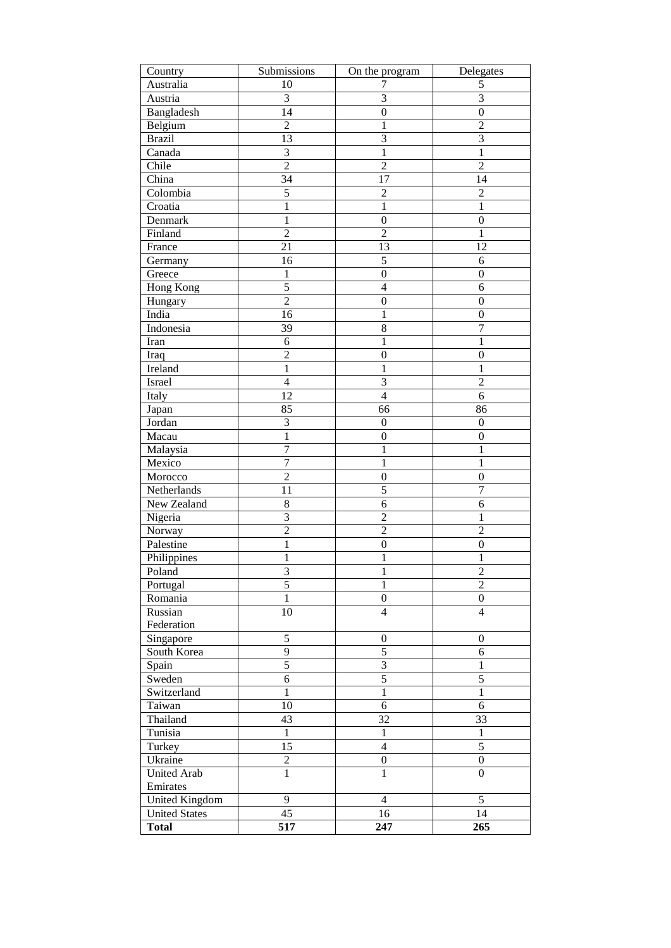| Country               | Submissions             | On the program   | Delegates        |  |
|-----------------------|-------------------------|------------------|------------------|--|
| Australia             | 10                      | 7                | 5                |  |
| Austria               | $\mathfrak{Z}$          | 3                | $\overline{3}$   |  |
| Bangladesh            | 14                      | $\boldsymbol{0}$ | $\boldsymbol{0}$ |  |
| Belgium               | $\overline{2}$          | $\mathbf{1}$     | $\overline{2}$   |  |
| <b>Brazil</b>         | 13                      | $\overline{3}$   | $\overline{3}$   |  |
| Canada                | $\overline{\mathbf{3}}$ | $\mathbf{1}$     | $\overline{1}$   |  |
| Chile                 | $\overline{2}$          | $\overline{c}$   | $\overline{2}$   |  |
| China                 | 34                      | 17               | 14               |  |
| Colombia              | $\sqrt{5}$              | $\overline{c}$   | $\mathfrak{2}$   |  |
| Croatia               | 1                       | $\mathbf{1}$     | $\mathbf{1}$     |  |
| Denmark               | 1                       | $\boldsymbol{0}$ | $\boldsymbol{0}$ |  |
| Finland               | $\overline{2}$          | $\mathbf{2}$     | 1                |  |
| France                | 21                      | 13               | 12               |  |
| Germany               | 16                      | $\sqrt{5}$       | 6                |  |
| Greece                | 1                       | $\boldsymbol{0}$ | $\boldsymbol{0}$ |  |
| Hong Kong             | $\overline{5}$          | $\overline{4}$   | 6                |  |
| Hungary               | $\overline{2}$          | $\boldsymbol{0}$ | $\boldsymbol{0}$ |  |
| India                 | 16                      | $\mathbf{1}$     | $\boldsymbol{0}$ |  |
| Indonesia             | 39                      | 8                | $\boldsymbol{7}$ |  |
| Iran                  | 6                       | 1                | 1                |  |
| Iraq                  | $\overline{c}$          | $\boldsymbol{0}$ | $\boldsymbol{0}$ |  |
| Ireland               | $\mathbf{1}$            | $\mathbf{1}$     | $\mathbf{1}$     |  |
| Israel                | $\overline{4}$          | 3                | $\overline{2}$   |  |
| Italy                 | 12                      | $\overline{4}$   | 6                |  |
| Japan                 | 85                      | 66               | 86               |  |
| Jordan                | 3                       | $\boldsymbol{0}$ | $\boldsymbol{0}$ |  |
| Macau                 | $\mathbf{1}$            | $\boldsymbol{0}$ | $\boldsymbol{0}$ |  |
| Malaysia              | $\overline{7}$          | $\mathbf{1}$     | 1                |  |
| Mexico                | $\overline{7}$          | 1                | 1                |  |
| Morocco               | $\overline{2}$          | $\boldsymbol{0}$ | $\boldsymbol{0}$ |  |
| Netherlands           | 11                      | 5                | $\tau$           |  |
| New Zealand           | $\,8$                   | 6                | 6                |  |
| Nigeria               | 3                       | $\overline{2}$   | 1                |  |
| Norway                | $\overline{2}$          | $\overline{2}$   | $\overline{2}$   |  |
| Palestine             | 1                       | $\boldsymbol{0}$ | $\boldsymbol{0}$ |  |
| Philippines           | 1                       | 1                | 1                |  |
| Poland                | 3                       | 1                | $\overline{c}$   |  |
| Portugal              | $\overline{5}$          | 1                | $\overline{2}$   |  |
| Romania               | $\mathbf{1}$            | $\boldsymbol{0}$ | $\boldsymbol{0}$ |  |
| Russian               | 10                      | $\overline{4}$   | $\overline{4}$   |  |
| Federation            |                         |                  |                  |  |
| Singapore             | $\overline{5}$          | $\boldsymbol{0}$ | $\boldsymbol{0}$ |  |
| South Korea           | $\overline{9}$          | 5                | 6                |  |
| Spain                 | $\overline{5}$          | $\overline{3}$   | $\mathbf{1}$     |  |
| Sweden                | $\overline{6}$          | 5                | 5                |  |
| Switzerland           | $\overline{1}$          | $\overline{1}$   | $\overline{1}$   |  |
| Taiwan                | 10                      | $\epsilon$       | 6                |  |
| Thailand              | 43                      | 32               | 33               |  |
| Tunisia               | $\mathbf{1}$            | $\,1$            | $\mathbf{1}$     |  |
| Turkey                | 15                      | $\overline{4}$   | 5                |  |
| Ukraine               | $\overline{c}$          | $\boldsymbol{0}$ | $\boldsymbol{0}$ |  |
| <b>United Arab</b>    | $\overline{1}$          | $\overline{1}$   | $\boldsymbol{0}$ |  |
| Emirates              |                         |                  |                  |  |
| <b>United Kingdom</b> | 9                       | $\overline{4}$   | 5                |  |
| <b>United States</b>  | 45                      | 16               | 14               |  |
| <b>Total</b>          | 517                     | 247              | 265              |  |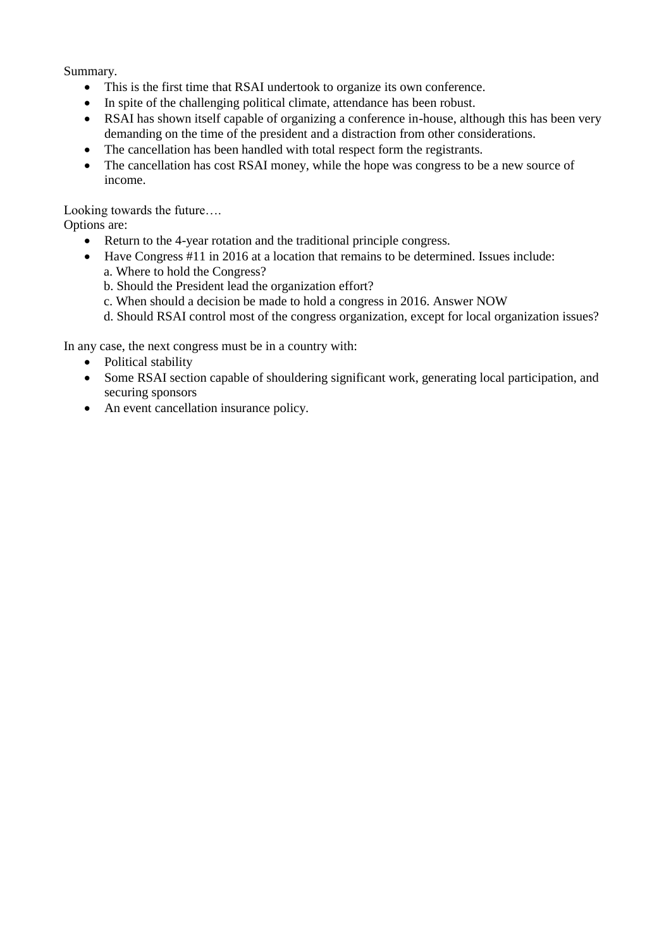Summary.

- This is the first time that RSAI undertook to organize its own conference.
- In spite of the challenging political climate, attendance has been robust.
- RSAI has shown itself capable of organizing a conference in-house, although this has been very demanding on the time of the president and a distraction from other considerations.
- The cancellation has been handled with total respect form the registrants.
- The cancellation has cost RSAI money, while the hope was congress to be a new source of income.

Looking towards the future….

Options are:

- Return to the 4-year rotation and the traditional principle congress.
- Have Congress #11 in 2016 at a location that remains to be determined. Issues include: a. Where to hold the Congress?
	- b. Should the President lead the organization effort?
	- c. When should a decision be made to hold a congress in 2016. Answer NOW
	- d. Should RSAI control most of the congress organization, except for local organization issues?

In any case, the next congress must be in a country with:

- Political stability
- Some RSAI section capable of shouldering significant work, generating local participation, and securing sponsors
- An event cancellation insurance policy.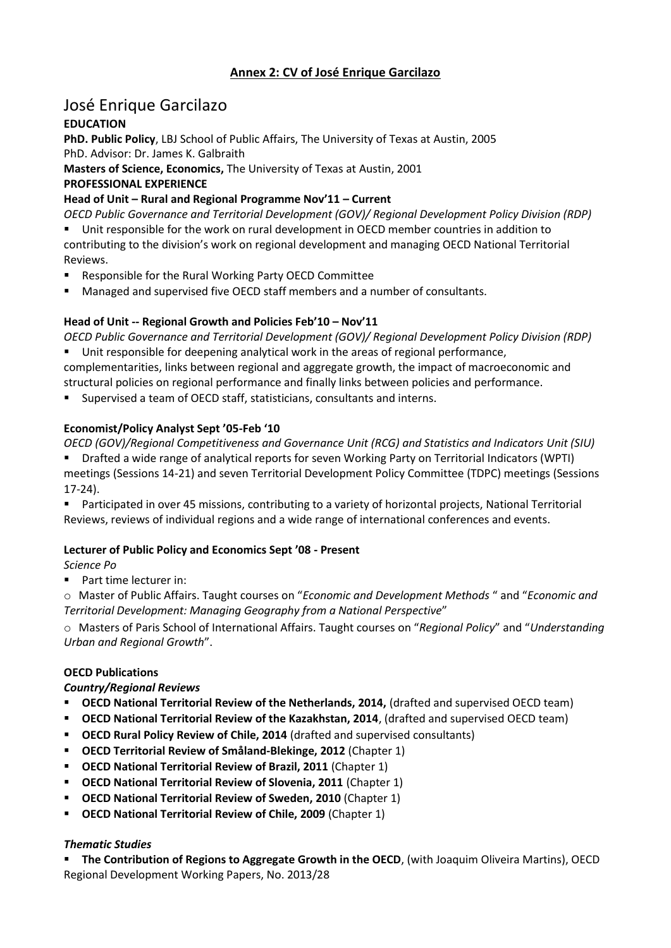# **Annex 2: CV of José Enrique Garcilazo**

# José Enrique Garcilazo

# **EDUCATION**

**PhD. Public Policy**, LBJ School of Public Affairs, The University of Texas at Austin, 2005 PhD. Advisor: Dr. James K. Galbraith

**Masters of Science, Economics,** The University of Texas at Austin, 2001

### **PROFESSIONAL EXPERIENCE**

# **Head of Unit – Rural and Regional Programme Nov'11 – Current**

*OECD Public Governance and Territorial Development (GOV)/ Regional Development Policy Division (RDP)* 

Unit responsible for the work on rural development in OECD member countries in addition to contributing to the division's work on regional development and managing OECD National Territorial Reviews.

- **Responsible for the Rural Working Party OECD Committee**
- Managed and supervised five OECD staff members and a number of consultants.

# **Head of Unit -- Regional Growth and Policies Feb'10 – Nov'11**

*OECD Public Governance and Territorial Development (GOV)/ Regional Development Policy Division (RDP)*  Unit responsible for deepening analytical work in the areas of regional performance,

complementarities, links between regional and aggregate growth, the impact of macroeconomic and structural policies on regional performance and finally links between policies and performance.

Supervised a team of OECD staff, statisticians, consultants and interns.

# **Economist/Policy Analyst Sept '05-Feb '10**

*OECD (GOV)/Regional Competitiveness and Governance Unit (RCG) and Statistics and Indicators Unit (SIU)* 

- Drafted a wide range of analytical reports for seven Working Party on Territorial Indicators (WPTI) meetings (Sessions 14-21) and seven Territorial Development Policy Committee (TDPC) meetings (Sessions 17-24).
- Participated in over 45 missions, contributing to a variety of horizontal projects, National Territorial Reviews, reviews of individual regions and a wide range of international conferences and events.

# **Lecturer of Public Policy and Economics Sept '08 - Present**

*Science Po* 

**Part time lecturer in:** 

o Master of Public Affairs. Taught courses on "*Economic and Development Methods* " and "*Economic and Territorial Development: Managing Geography from a National Perspective*"

o Masters of Paris School of International Affairs. Taught courses on "*Regional Policy*" and "*Understanding Urban and Regional Growth*".

# **OECD Publications**

#### *Country/Regional Reviews*

- **DECD National Territorial Review of the Netherlands, 2014, (drafted and supervised OECD team)**
- **OECD National Territorial Review of the Kazakhstan, 2014**, (drafted and supervised OECD team)
- **OECD Rural Policy Review of Chile, 2014** (drafted and supervised consultants)
- **OECD Territorial Review of Småland-Blekinge, 2012** (Chapter 1)
- **OECD National Territorial Review of Brazil, 2011** (Chapter 1)
- **OECD National Territorial Review of Slovenia, 2011** (Chapter 1)
- **OECD National Territorial Review of Sweden, 2010** (Chapter 1)
- **OECD National Territorial Review of Chile, 2009** (Chapter 1)

#### *Thematic Studies*

**The Contribution of Regions to Aggregate Growth in the OECD**, (with Joaquim Oliveira Martins), OECD Regional Development Working Papers, No. 2013/28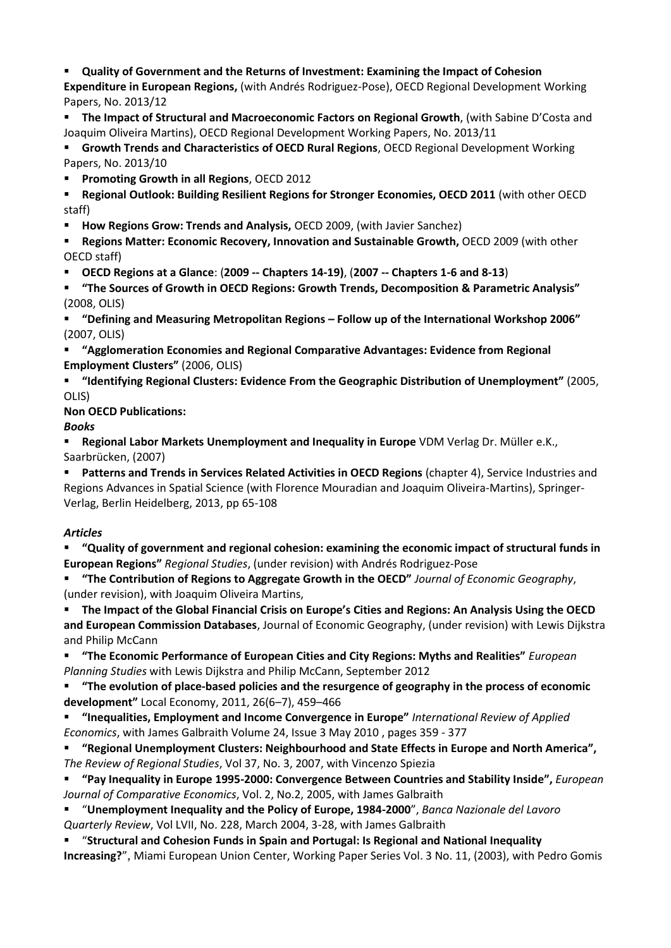# **Quality of Government and the Returns of Investment: Examining the Impact of Cohesion**

**Expenditure in European Regions,** (with Andrés Rodriguez-Pose), OECD Regional Development Working Papers, No. 2013/12

**The Impact of Structural and Macroeconomic Factors on Regional Growth**, (with Sabine D'Costa and Joaquim Oliveira Martins), OECD Regional Development Working Papers, No. 2013/11

**Growth Trends and Characteristics of OECD Rural Regions**, OECD Regional Development Working Papers, No. 2013/10

- **Promoting Growth in all Regions**, OECD 2012
- **Regional Outlook: Building Resilient Regions for Stronger Economies, OECD 2011** (with other OECD staff)
- **How Regions Grow: Trends and Analysis,** OECD 2009, (with Javier Sanchez)
- **Regions Matter: Economic Recovery, Innovation and Sustainable Growth, OECD 2009 (with other )** OECD staff)
- **OECD Regions at a Glance**: (**2009 -- Chapters 14-19)**, (**2007 -- Chapters 1-6 and 8-13**)
- **"The Sources of Growth in OECD Regions: Growth Trends, Decomposition & Parametric Analysis"**  (2008, OLIS)
- **"Defining and Measuring Metropolitan Regions – Follow up of the International Workshop 2006"**  (2007, OLIS)
- **"Agglomeration Economies and Regional Comparative Advantages: Evidence from Regional Employment Clusters"** (2006, OLIS)
- **"Identifying Regional Clusters: Evidence From the Geographic Distribution of Unemployment"** (2005, OLIS)

**Non OECD Publications:** 

# *Books*

**Regional Labor Markets Unemployment and Inequality in Europe** VDM Verlag Dr. Müller e.K., Saarbrücken, (2007)

**Patterns and Trends in Services Related Activities in OECD Regions** (chapter 4), Service Industries and Regions Advances in Spatial Science (with Florence Mouradian and Joaquim Oliveira-Martins), Springer-Verlag, Berlin Heidelberg, 2013, pp 65-108

# *Articles*

**"Quality of government and regional cohesion: examining the economic impact of structural funds in European Regions"** *Regional Studies*, (under revision) with Andrés Rodriguez-Pose

**"The Contribution of Regions to Aggregate Growth in the OECD"** *Journal of Economic Geography*, (under revision), with Joaquim Oliveira Martins,

**The Impact of the Global Financial Crisis on Europe's Cities and Regions: An Analysis Using the OECD and European Commission Databases**, Journal of Economic Geography, (under revision) with Lewis Dijkstra and Philip McCann

**"The Economic Performance of European Cities and City Regions: Myths and Realities"** *European Planning Studies* with Lewis Dijkstra and Philip McCann, September 2012

**"The evolution of place-based policies and the resurgence of geography in the process of economic development"** Local Economy, 2011, 26(6–7), 459–466

- **"Inequalities, Employment and Income Convergence in Europe"** *International Review of Applied Economics*, with James Galbraith Volume 24, Issue 3 May 2010 , pages 359 - 377
- **"Regional Unemployment Clusters: Neighbourhood and State Effects in Europe and North America",**  *The Review of Regional Studies*, Vol 37, No. 3, 2007, with Vincenzo Spiezia
- **"Pay Inequality in Europe 1995-2000: Convergence Between Countries and Stability Inside",** *European Journal of Comparative Economics*, Vol. 2, No.2, 2005, with James Galbraith
- "**Unemployment Inequality and the Policy of Europe, 1984-2000**", *Banca Nazionale del Lavoro Quarterly Review*, Vol LVII, No. 228, March 2004, 3-28, with James Galbraith
- "**Structural and Cohesion Funds in Spain and Portugal: Is Regional and National Inequality Increasing?**", Miami European Union Center, Working Paper Series Vol. 3 No. 11, (2003), with Pedro Gomis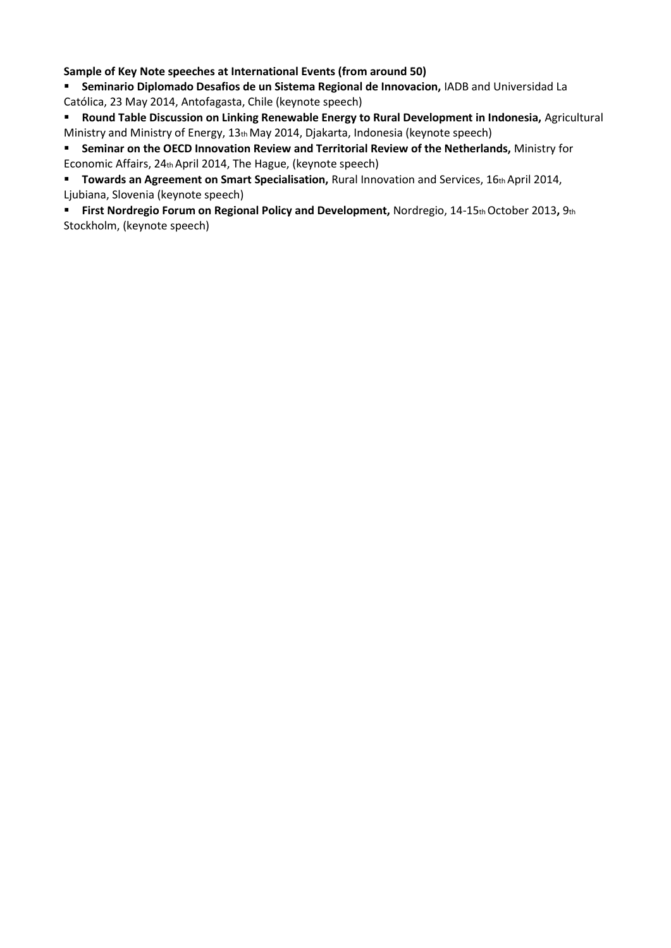**Sample of Key Note speeches at International Events (from around 50)** 

**Seminario Diplomado Desafios de un Sistema Regional de Innovacion,** IADB and Universidad La Católica, 23 May 2014, Antofagasta, Chile (keynote speech)

**Round Table Discussion on Linking Renewable Energy to Rural Development in Indonesia, Agricultural** Ministry and Ministry of Energy, 13th May 2014, Djakarta, Indonesia (keynote speech)

**Seminar on the OECD Innovation Review and Territorial Review of the Netherlands,** Ministry for Economic Affairs, 24th April 2014, The Hague, (keynote speech)

**Towards an Agreement on Smart Specialisation, Rural Innovation and Services, 16th April 2014,** Ljubiana, Slovenia (keynote speech)

**First Nordregio Forum on Regional Policy and Development,** Nordregio, 14-15th October 2013**,** 9th Stockholm, (keynote speech)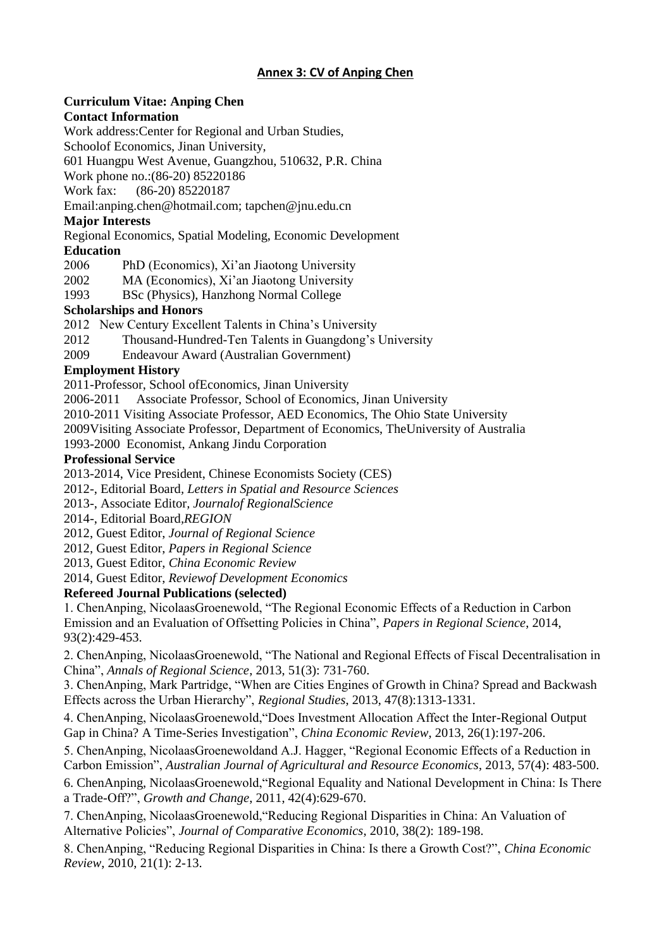# **Annex 3: CV of Anping Chen**

#### **Curriculum Vitae: Anping Chen Contact Information**

Work address:Center for Regional and Urban Studies,

Schoolof Economics, Jinan University,

601 Huangpu West Avenue, Guangzhou, 510632, P.R. China

Work phone no.:(86-20) 85220186

Work fax: (86-20) 85220187

Email:anping.chen@hotmail.com; tapchen@jnu.edu.cn

# **Major Interests**

Regional Economics, Spatial Modeling, Economic Development

# **Education**

2006 PhD (Economics), Xi'an Jiaotong University

- 2002 MA (Economics), Xi'an Jiaotong University
- 1993 BSc (Physics), Hanzhong Normal College

# **Scholarships and Honors**

2012 New Century Excellent Talents in China's University

- 2012 Thousand-Hundred-Ten Talents in Guangdong's University
- 2009 Endeavour Award (Australian Government)

# **Employment History**

2011-Professor, School ofEconomics, Jinan University

2006-2011 Associate Professor, School of Economics, Jinan University

2010-2011 Visiting Associate Professor, AED Economics, The Ohio State University

2009Visiting Associate Professor, Department of Economics, TheUniversity of Australia

1993-2000 Economist, Ankang Jindu Corporation

# **Professional Service**

2013-2014, Vice President, Chinese Economists Society (CES)

2012-, Editorial Board*, Letters in Spatial and Resource Sciences*

2013-, Associate Editor*, Journalof RegionalScience*

2014-, Editorial Board*,REGION*

2012, Guest Editor, *Journal of Regional Science*

2012, Guest Editor, *Papers in Regional Science*

2013, Guest Editor, *China Economic Review*

2014, Guest Editor, *Reviewof Development Economics*

# **Refereed Journal Publications (selected)**

1. ChenAnping, NicolaasGroenewold, "The Regional Economic Effects of a Reduction in Carbon Emission and an Evaluation of Offsetting Policies in China", *Papers in Regional Science*, 2014, 93(2):429-453.

2. ChenAnping, NicolaasGroenewold, "The National and Regional Effects of Fiscal Decentralisation in China", *Annals of Regional Science*, 2013, 51(3): 731-760.

3. ChenAnping, Mark Partridge, "When are Cities Engines of Growth in China? Spread and Backwash Effects across the Urban Hierarchy", *Regional Studies*, 2013, 47(8):1313-1331.

4. ChenAnping, NicolaasGroenewold,"Does Investment Allocation Affect the Inter-Regional Output Gap in China? A Time-Series Investigation", *China Economic Review*, 2013, 26(1):197-206.

5. ChenAnping, NicolaasGroenewoldand A.J. Hagger, "Regional Economic Effects of a Reduction in Carbon Emission", *Australian Journal of Agricultural and Resource Economics*, 2013, 57(4): 483-500.

6. ChenAnping, NicolaasGroenewold,"Regional Equality and National Development in China: Is There a Trade-Off?", *Growth and Change*, 2011, 42(4):629-670.

7. ChenAnping, NicolaasGroenewold,"Reducing Regional Disparities in China: An Valuation of Alternative Policies", *Journal of Comparative Economics*, 2010, 38(2): 189-198.

8. ChenAnping, "Reducing Regional Disparities in China: Is there a Growth Cost?", *China Economic Review*, 2010, 21(1): 2-13.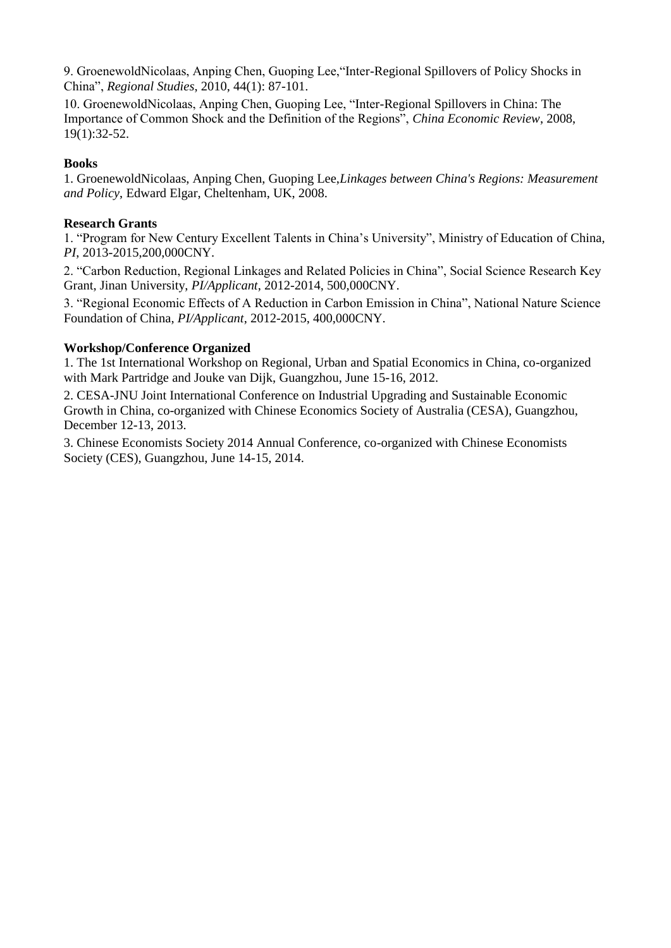9. GroenewoldNicolaas, Anping Chen, Guoping Lee,"Inter-Regional Spillovers of Policy Shocks in China", *Regional Studies*, 2010, 44(1): 87-101.

10. GroenewoldNicolaas, Anping Chen, Guoping Lee, "Inter-Regional Spillovers in China: The Importance of Common Shock and the Definition of the Regions", *China Economic Review*, 2008, 19(1):32-52.

#### **Books**

1. GroenewoldNicolaas, Anping Chen, Guoping Lee,*Linkages between China's Regions: Measurement and Policy*, Edward Elgar, Cheltenham, UK, 2008.

### **Research Grants**

1. "Program for New Century Excellent Talents in China's University", Ministry of Education of China, *PI*, 2013-2015,200,000CNY.

2. "Carbon Reduction, Regional Linkages and Related Policies in China", Social Science Research Key Grant, Jinan University, *PI/Applicant*, 2012-2014, 500,000CNY.

3. "Regional Economic Effects of A Reduction in Carbon Emission in China", National Nature Science Foundation of China, *PI/Applicant*, 2012-2015, 400,000CNY.

# **Workshop/Conference Organized**

1. The 1st International Workshop on Regional, Urban and Spatial Economics in China, co-organized with Mark Partridge and Jouke van Dijk, Guangzhou, June 15-16, 2012.

2. CESA-JNU Joint International Conference on Industrial Upgrading and Sustainable Economic Growth in China, co-organized with Chinese Economics Society of Australia (CESA), Guangzhou, December 12-13, 2013.

3. Chinese Economists Society 2014 Annual Conference, co-organized with Chinese Economists Society (CES), Guangzhou, June 14-15, 2014.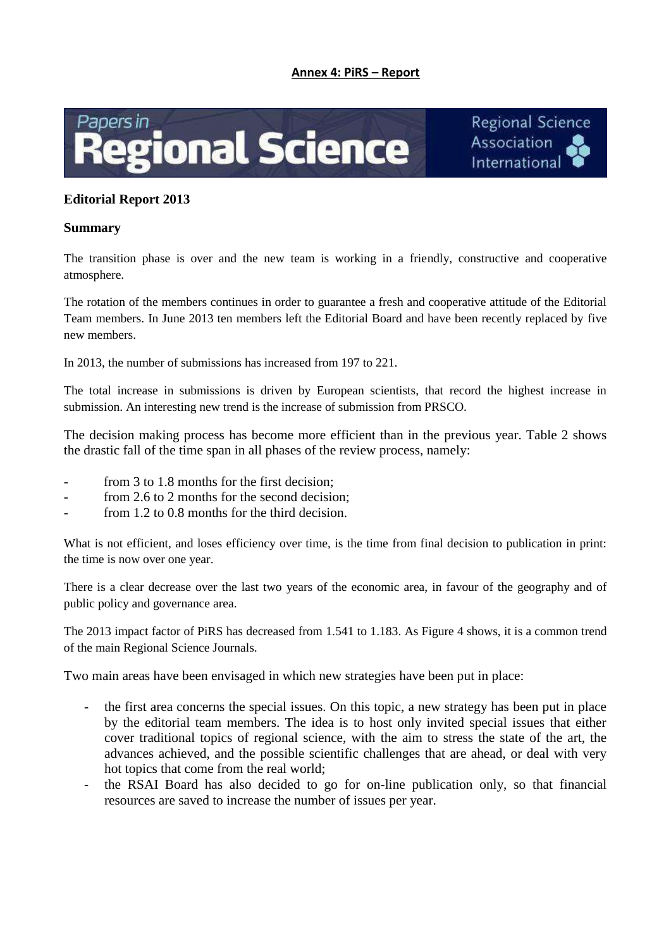#### **Annex 4: PiRS – Report**





# **Editorial Report 2013**

#### **Summary**

The transition phase is over and the new team is working in a friendly, constructive and cooperative atmosphere.

The rotation of the members continues in order to guarantee a fresh and cooperative attitude of the Editorial Team members. In June 2013 ten members left the Editorial Board and have been recently replaced by five new members.

In 2013, the number of submissions has increased from 197 to 221.

The total increase in submissions is driven by European scientists, that record the highest increase in submission. An interesting new trend is the increase of submission from PRSCO.

The decision making process has become more efficient than in the previous year. Table 2 shows the drastic fall of the time span in all phases of the review process, namely:

- from 3 to 1.8 months for the first decision;
- from 2.6 to 2 months for the second decision:
- from 1.2 to 0.8 months for the third decision.

What is not efficient, and loses efficiency over time, is the time from final decision to publication in print: the time is now over one year.

There is a clear decrease over the last two years of the economic area, in favour of the geography and of public policy and governance area.

The 2013 impact factor of PiRS has decreased from 1.541 to 1.183. As Figure 4 shows, it is a common trend of the main Regional Science Journals.

Two main areas have been envisaged in which new strategies have been put in place:

- the first area concerns the special issues. On this topic, a new strategy has been put in place by the editorial team members. The idea is to host only invited special issues that either cover traditional topics of regional science, with the aim to stress the state of the art, the advances achieved, and the possible scientific challenges that are ahead, or deal with very hot topics that come from the real world;
- the RSAI Board has also decided to go for on-line publication only, so that financial resources are saved to increase the number of issues per year.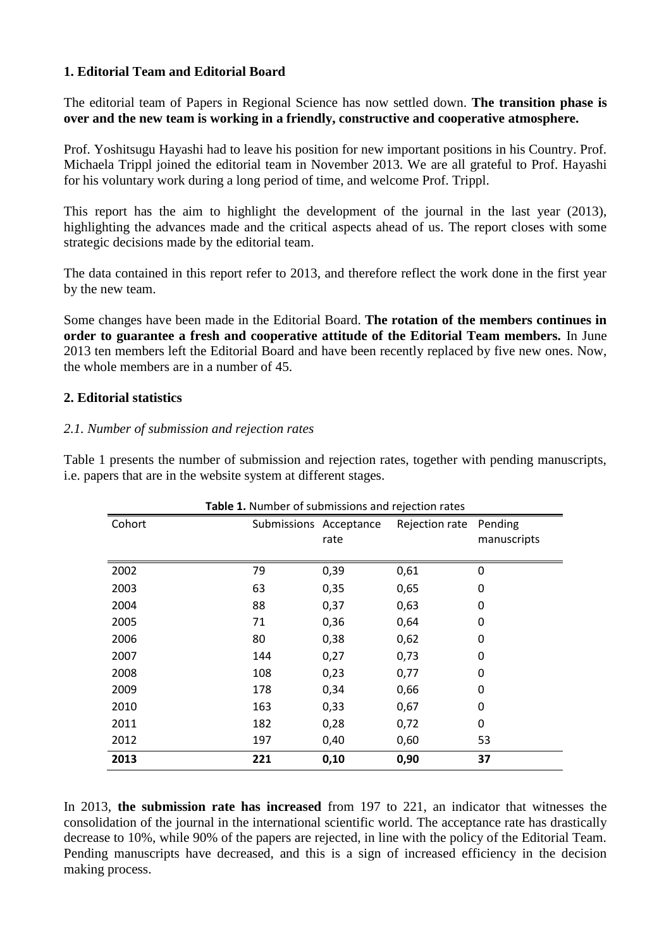# **1. Editorial Team and Editorial Board**

The editorial team of Papers in Regional Science has now settled down. **The transition phase is over and the new team is working in a friendly, constructive and cooperative atmosphere.**

Prof. Yoshitsugu Hayashi had to leave his position for new important positions in his Country. Prof. Michaela Trippl joined the editorial team in November 2013. We are all grateful to Prof. Hayashi for his voluntary work during a long period of time, and welcome Prof. Trippl.

This report has the aim to highlight the development of the journal in the last year (2013), highlighting the advances made and the critical aspects ahead of us. The report closes with some strategic decisions made by the editorial team.

The data contained in this report refer to 2013, and therefore reflect the work done in the first year by the new team.

Some changes have been made in the Editorial Board. **The rotation of the members continues in order to guarantee a fresh and cooperative attitude of the Editorial Team members.** In June 2013 ten members left the Editorial Board and have been recently replaced by five new ones. Now, the whole members are in a number of 45.

# **2. Editorial statistics**

# *2.1. Number of submission and rejection rates*

Table 1 presents the number of submission and rejection rates, together with pending manuscripts, i.e. papers that are in the website system at different stages.

| Table 1. Number of submissions and rejection rates |     |                        |                |             |  |  |
|----------------------------------------------------|-----|------------------------|----------------|-------------|--|--|
| Cohort                                             |     | Submissions Acceptance | Rejection rate | Pending     |  |  |
|                                                    |     | rate                   |                | manuscripts |  |  |
|                                                    |     |                        |                |             |  |  |
| 2002                                               | 79  | 0,39                   | 0,61           | 0           |  |  |
| 2003                                               | 63  | 0,35                   | 0,65           | 0           |  |  |
| 2004                                               | 88  | 0,37                   | 0,63           | 0           |  |  |
| 2005                                               | 71  | 0,36                   | 0,64           | 0           |  |  |
| 2006                                               | 80  | 0,38                   | 0,62           | 0           |  |  |
| 2007                                               | 144 | 0,27                   | 0,73           | 0           |  |  |
| 2008                                               | 108 | 0,23                   | 0,77           | 0           |  |  |
| 2009                                               | 178 | 0,34                   | 0,66           | 0           |  |  |
| 2010                                               | 163 | 0,33                   | 0,67           | 0           |  |  |
| 2011                                               | 182 | 0,28                   | 0,72           | 0           |  |  |
| 2012                                               | 197 | 0,40                   | 0,60           | 53          |  |  |
| 2013                                               | 221 | 0,10                   | 0,90           | 37          |  |  |

In 2013, **the submission rate has increased** from 197 to 221, an indicator that witnesses the consolidation of the journal in the international scientific world. The acceptance rate has drastically decrease to 10%, while 90% of the papers are rejected, in line with the policy of the Editorial Team. Pending manuscripts have decreased, and this is a sign of increased efficiency in the decision making process.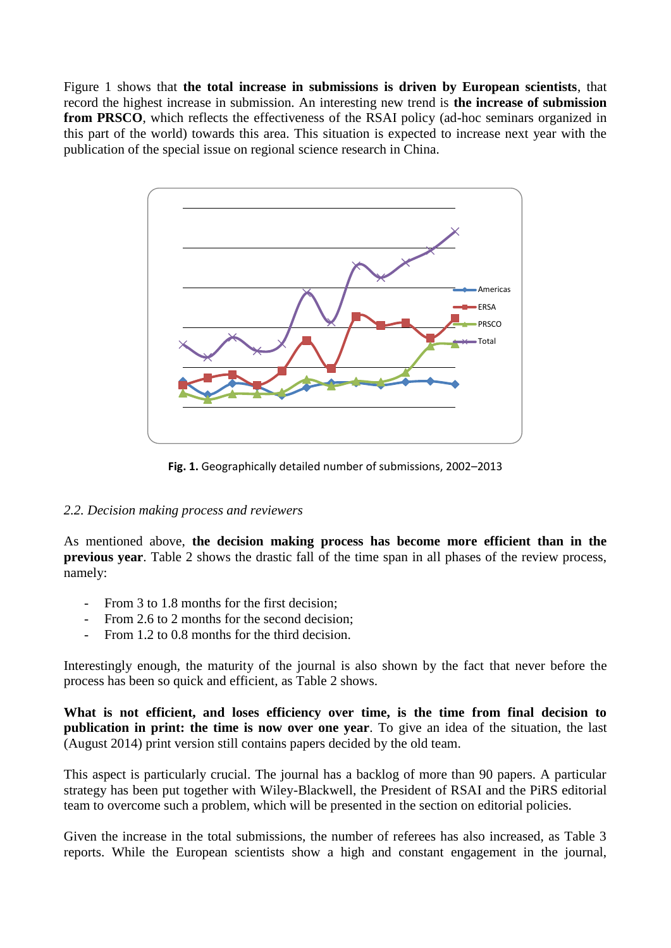Figure 1 shows that **the total increase in submissions is driven by European scientists**, that record the highest increase in submission. An interesting new trend is **the increase of submission from PRSCO**, which reflects the effectiveness of the RSAI policy (ad-hoc seminars organized in this part of the world) towards this area. This situation is expected to increase next year with the publication of the special issue on regional science research in China.



**Fig. 1.** Geographically detailed number of submissions, 2002–2013

# *2.2. Decision making process and reviewers*

As mentioned above, **the decision making process has become more efficient than in the previous year**. Table 2 shows the drastic fall of the time span in all phases of the review process, namely:

- From 3 to 1.8 months for the first decision:
- From 2.6 to 2 months for the second decision:
- From 1.2 to 0.8 months for the third decision.

Interestingly enough, the maturity of the journal is also shown by the fact that never before the process has been so quick and efficient, as Table 2 shows.

**What is not efficient, and loses efficiency over time, is the time from final decision to publication in print: the time is now over one year**. To give an idea of the situation, the last (August 2014) print version still contains papers decided by the old team.

This aspect is particularly crucial. The journal has a backlog of more than 90 papers. A particular strategy has been put together with Wiley-Blackwell, the President of RSAI and the PiRS editorial team to overcome such a problem, which will be presented in the section on editorial policies.

Given the increase in the total submissions, the number of referees has also increased, as Table 3 reports. While the European scientists show a high and constant engagement in the journal,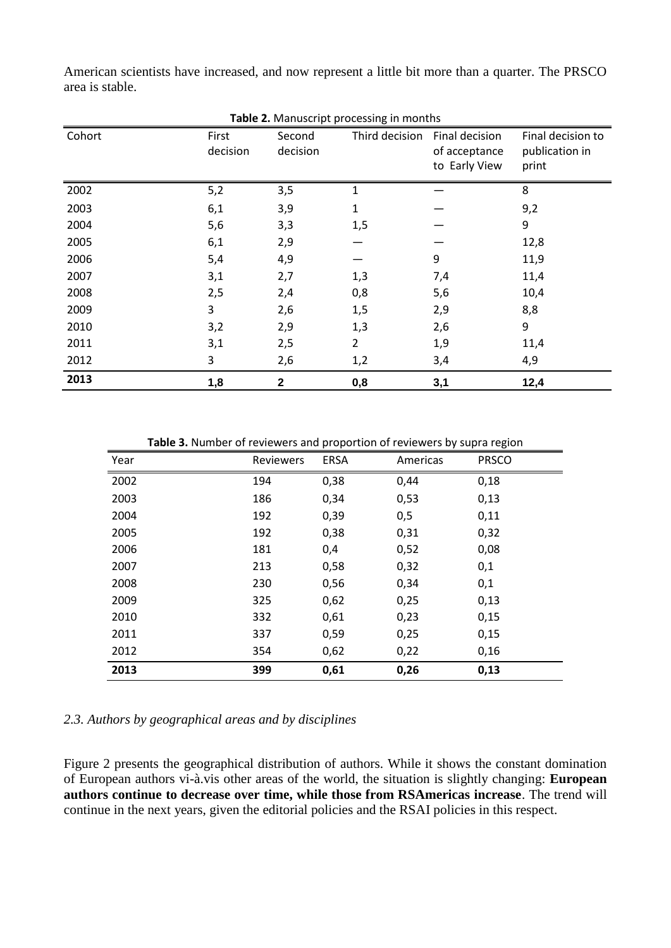| Table 2. Manuscript processing in months |                   |                    |                |                                                  |                                              |  |  |
|------------------------------------------|-------------------|--------------------|----------------|--------------------------------------------------|----------------------------------------------|--|--|
| Cohort                                   | First<br>decision | Second<br>decision | Third decision | Final decision<br>of acceptance<br>to Early View | Final decision to<br>publication in<br>print |  |  |
| 2002                                     | 5,2               | 3,5                | 1              |                                                  | 8                                            |  |  |
| 2003                                     | 6,1               | 3,9                | 1              |                                                  | 9,2                                          |  |  |
| 2004                                     | 5,6               | 3,3                | 1,5            |                                                  | 9                                            |  |  |
| 2005                                     | 6,1               | 2,9                |                |                                                  | 12,8                                         |  |  |
| 2006                                     | 5,4               | 4,9                |                | 9                                                | 11,9                                         |  |  |
| 2007                                     | 3,1               | 2,7                | 1,3            | 7,4                                              | 11,4                                         |  |  |
| 2008                                     | 2,5               | 2,4                | 0,8            | 5,6                                              | 10,4                                         |  |  |
| 2009                                     | 3                 | 2,6                | 1,5            | 2,9                                              | 8,8                                          |  |  |
| 2010                                     | 3,2               | 2,9                | 1,3            | 2,6                                              | 9                                            |  |  |
| 2011                                     | 3,1               | 2,5                | $\overline{2}$ | 1,9                                              | 11,4                                         |  |  |
| 2012                                     | 3                 | 2,6                | 1,2            | 3,4                                              | 4,9                                          |  |  |
| 2013                                     | 1,8               | $\mathbf{2}$       | 0,8            | 3,1                                              | 12,4                                         |  |  |

American scientists have increased, and now represent a little bit more than a quarter. The PRSCO area is stable.

**Table 3.** Number of reviewers and proportion of reviewers by supra region

| Year | Reviewers | <b>ERSA</b> | Americas | <b>PRSCO</b> |
|------|-----------|-------------|----------|--------------|
| 2002 | 194       | 0,38        | 0,44     | 0,18         |
| 2003 | 186       | 0,34        | 0,53     | 0,13         |
| 2004 | 192       | 0,39        | 0,5      | 0,11         |
| 2005 | 192       | 0,38        | 0,31     | 0,32         |
| 2006 | 181       | 0,4         | 0,52     | 0,08         |
| 2007 | 213       | 0,58        | 0,32     | 0,1          |
| 2008 | 230       | 0,56        | 0,34     | 0,1          |
| 2009 | 325       | 0,62        | 0,25     | 0,13         |
| 2010 | 332       | 0,61        | 0,23     | 0,15         |
| 2011 | 337       | 0,59        | 0,25     | 0,15         |
| 2012 | 354       | 0,62        | 0,22     | 0,16         |
| 2013 | 399       | 0,61        | 0,26     | 0,13         |

#### *2.3. Authors by geographical areas and by disciplines*

Figure 2 presents the geographical distribution of authors. While it shows the constant domination of European authors vi-à.vis other areas of the world, the situation is slightly changing: **European authors continue to decrease over time, while those from RSAmericas increase**. The trend will continue in the next years, given the editorial policies and the RSAI policies in this respect.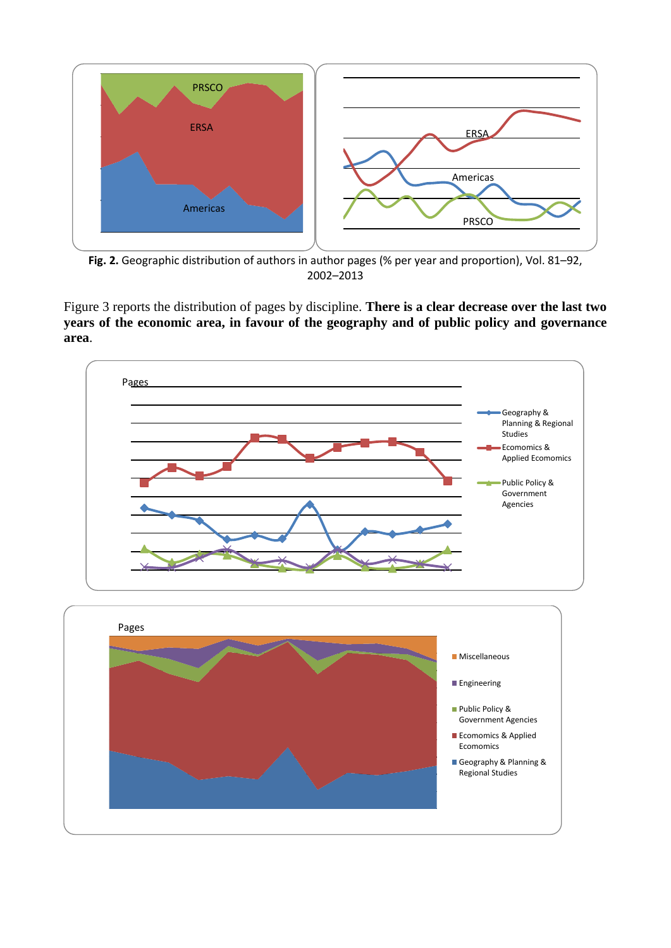

**Fig. 2.** Geographic distribution of authors in author pages (% per year and proportion), Vol. 81–92, 2002–2013

Figure 3 reports the distribution of pages by discipline. **There is a clear decrease over the last two years of the economic area, in favour of the geography and of public policy and governance area**.



Ecomomics & Applied Ecomomics

Geography & Planning & Regional Studies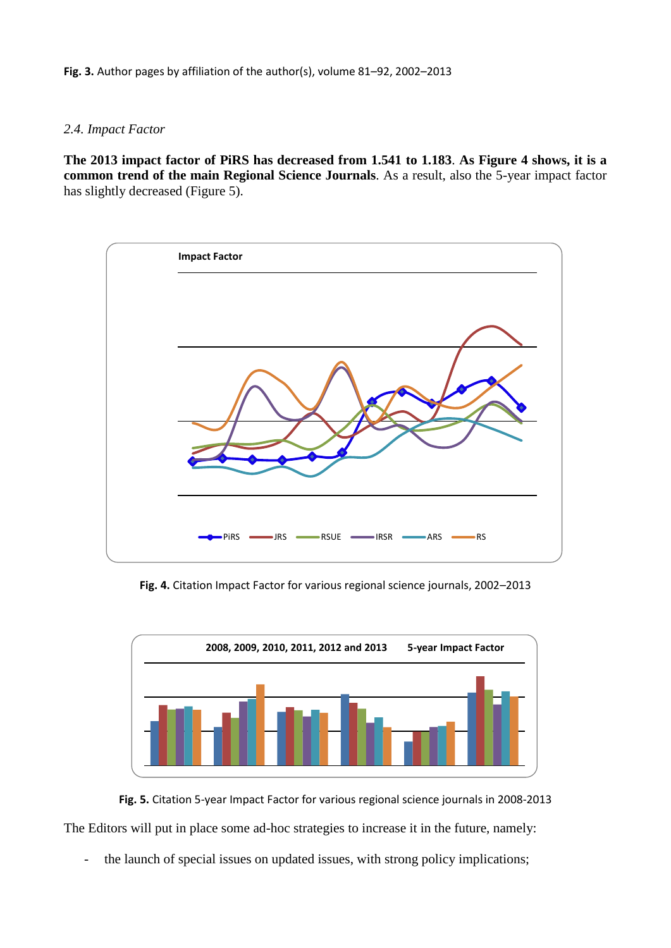### *2.4. Impact Factor*

**The 2013 impact factor of PiRS has decreased from 1.541 to 1.183**. **As Figure 4 shows, it is a common trend of the main Regional Science Journals**. As a result, also the 5-year impact factor has slightly decreased (Figure 5).



**Fig. 4.** Citation Impact Factor for various regional science journals, 2002–2013



**Fig. 5.** Citation 5-year Impact Factor for various regional science journals in 2008-2013

The Editors will put in place some ad-hoc strategies to increase it in the future, namely:

the launch of special issues on updated issues, with strong policy implications;